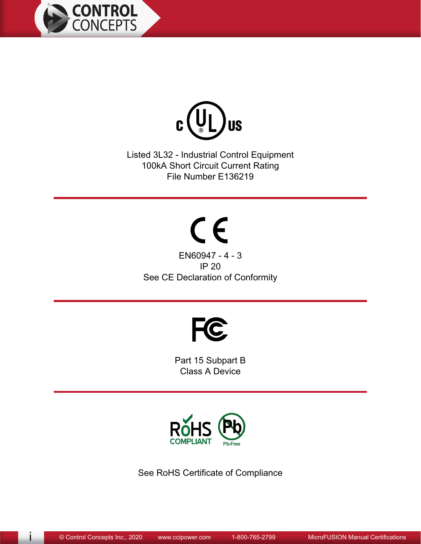



Listed 3L32 - Industrial Control Equipment 100kA Short Circuit Current Rating File Number E136219

 $C \in$ EN60947 - 4 - 3 **IP 20** See CE Declaration of Conformity



Part 15 Subpart B **Class A Device** 



See RoHS Certificate of Compliance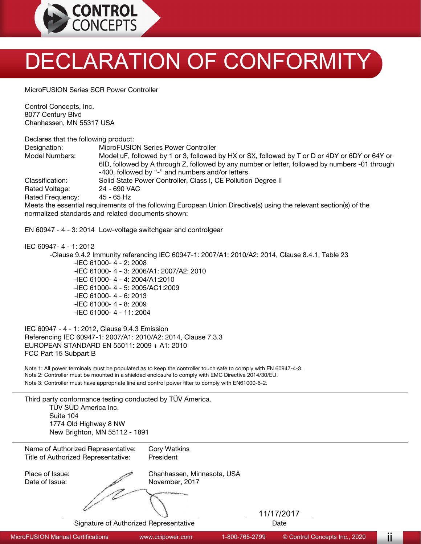

## DECLARATION OF CONFORMITY

MicroFUSION Series SCR Power Controller

Control Concepts, Inc. 8077 Century Blvd Chanhassen, MN 55317 USA

Declares that the following product:

| Designation:     | MicroFUSION Series Power Controller                                                                                |
|------------------|--------------------------------------------------------------------------------------------------------------------|
| Model Numbers:   | Model uF, followed by 1 or 3, followed by HX or SX, followed by T or D or 4DY or 6DY or 64Y or                     |
|                  | 6ID, followed by A through Z, followed by any number or letter, followed by numbers -01 through                    |
|                  | -400, followed by "-" and numbers and/or letters                                                                   |
| Classification:  | Solid State Power Controller, Class I, CE Pollution Degree II                                                      |
| Rated Voltage:   | 24 - 690 VAC                                                                                                       |
| Rated Frequency: | 45 - 65 Hz                                                                                                         |
|                  | Meets the essential requirements of the following European Union Directive(s) using the relevant section(s) of the |

normalized standards and related documents shown:

EN 60947 - 4 - 3: 2014 Low-voltage switchgear and controlgear

IEC 60947- 4 - 1: 2012

-Clause 9.4.2 Immunity referencing IEC 60947-1: 2007/A1: 2010/A2: 2014, Clause 8.4.1, Table 23 -IEC 61000- 4 - 2: 2008 -IEC 61000- 4 - 3: 2006/A1: 2007/A2: 2010 -IEC 61000- 4 - 4: 2004/A1:2010 -IEC 61000- 4 - 5: 2005/AC1:2009 -IEC 61000- 4 - 6: 2013 -IEC 61000- 4 - 8: 2009 -IEC 61000- 4 - 11: 2004

IEC 60947 - 4 - 1: 2012, Clause 9.4.3 Emission Referencing IEC 60947-1: 2007/A1: 2010/A2: 2014, Clause 7.3.3 EUROPEAN STANDARD EN 55011: 2009 + A1: 2010 FCC Part 15 Subpart B

Note 1: All power terminals must be populated as to keep the controller touch safe to comply with EN 60947-4-3.

Note 2: Controller must be mounted in a shielded enclosure to comply with EMC Directive 2014/30/EU.

Note 3: Controller must have appropriate line and control power filter to comply with EN61000-6-2.

| Third party conformance testing conducted by TÜV America.<br>TÜV SÜD America Inc.<br>Suite 104<br>1774 Old Highway 8 NW<br>New Brighton, MN 55112 - 1891 |                                              |                    |  |  |  |
|----------------------------------------------------------------------------------------------------------------------------------------------------------|----------------------------------------------|--------------------|--|--|--|
| Name of Authorized Representative:<br>Title of Authorized Representative:                                                                                | Cory Watkins<br>President                    |                    |  |  |  |
| Place of Issue:<br>Date of Issue:                                                                                                                        | Chanhassen, Minnesota, USA<br>November, 2017 |                    |  |  |  |
| Signature of Authorized Representative                                                                                                                   | <b>STATISTICS</b>                            | 11/17/2017<br>Date |  |  |  |

MicroFUSION Manual Certifications www.ccipower.com 1-800-765-2799 © Control Concepts Inc., 2020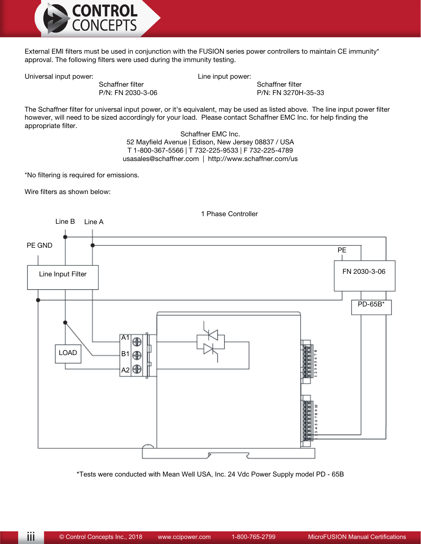

External EMI filters must be used in conjunction with the FUSION series power controllers to maintain CE immunity\* approval. The following filters were used during the immunity testing.

Universal input power: Contact the Universal input power:

Schaffner filter Schaffner Filter Schaffner filter P/N: FN 2030-3-06 P/N: FN 3270H-35-33

The Schaffner filter for universal input power, or it's equivalent, may be used as listed above. The line input power filter however, will need to be sized accordingly for your load. Please contact Schaffner EMC Inc. for help finding the appropriate filter.

> Schaffner EMC Inc. 52 Mayfield Avenue | Edison, New Jersey 08837 / USA T 1-800-367-5566 | T 732-225-9533 | F 732-225-4789 usasales@schaffner.com | http://www.schaffner.com/us

\*No filtering is required for emissions.

Wire filters as shown below:



\*Tests were conducted with Mean Well USA, Inc. 24 Vdc Power Supply model PD - 65B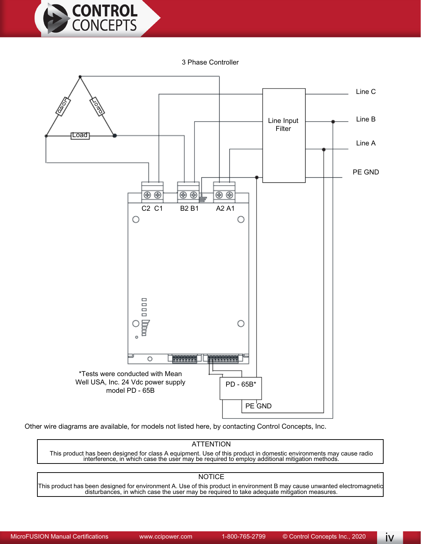

3 Phase Controller



Other wire diagrams are available, for models not listed here, by contacting Control Concepts, Inc.

## **ATTENTION**

This product has been designed for class A equipment. Use of this product in domestic environments may cause radio<br>interference, in which case the user may be required to employ additional mitigation methods.

## **NOTICE**

This product has been designed for environment A. Use of this product in environment B may cause unwanted electromagnetic<br>disturbances, in which case the user may be required to take adequate mitigation measures.